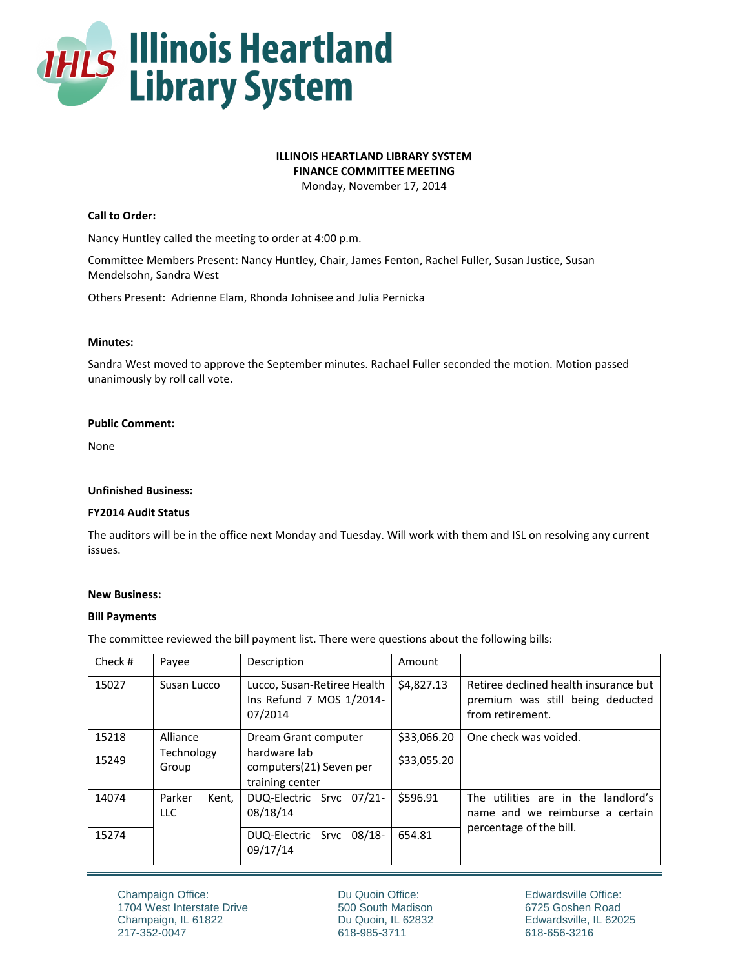

# **ILLINOIS HEARTLAND LIBRARY SYSTEM**

**FINANCE COMMITTEE MEETING**

Monday, November 17, 2014

# **Call to Order:**

Nancy Huntley called the meeting to order at 4:00 p.m.

Committee Members Present: Nancy Huntley, Chair, James Fenton, Rachel Fuller, Susan Justice, Susan Mendelsohn, Sandra West

Others Present: Adrienne Elam, Rhonda Johnisee and Julia Pernicka

## **Minutes:**

Sandra West moved to approve the September minutes. Rachael Fuller seconded the motion. Motion passed unanimously by roll call vote.

#### **Public Comment:**

None

#### **Unfinished Business:**

## **FY2014 Audit Status**

The auditors will be in the office next Monday and Tuesday. Will work with them and ISL on resolving any current issues.

## **New Business:**

#### **Bill Payments**

The committee reviewed the bill payment list. There were questions about the following bills:

| Check # | Payee                           | Description                                                        | Amount      |                                                                                               |
|---------|---------------------------------|--------------------------------------------------------------------|-------------|-----------------------------------------------------------------------------------------------|
| 15027   | Susan Lucco                     | Lucco, Susan-Retiree Health<br>Ins Refund 7 MOS 1/2014-<br>07/2014 | \$4,827.13  | Retiree declined health insurance but<br>premium was still being deducted<br>from retirement. |
| 15218   | Alliance<br>Technology<br>Group | Dream Grant computer                                               | \$33,066.20 | One check was voided.                                                                         |
| 15249   |                                 | hardware lab<br>computers(21) Seven per<br>training center         | \$33,055.20 |                                                                                               |
| 14074   | Parker<br>Kent,<br><b>LLC</b>   | DUQ-Electric Srvc 07/21-<br>08/18/14                               | \$596.91    | The utilities are in the landlord's<br>name and we reimburse a certain                        |
| 15274   |                                 | DUQ-Electric Srvc 08/18-<br>09/17/14                               | 654.81      | percentage of the bill.                                                                       |

Du Quoin Office: 500 South Madison Du Quoin, IL 62832 618-985-3711

Edwardsville Office: 6725 Goshen Road Edwardsville, IL 62025 618-656-3216